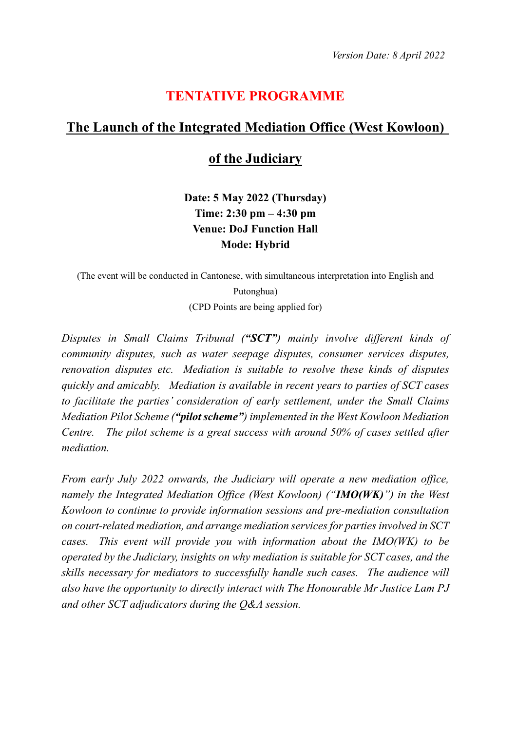## **TENTATIVE PROGRAMME**

## **The Launch of the Integrated Mediation Office (West Kowloon)**

## **of the Judiciary**

**Date: 5 May 2022 (Thursday) Time: 2:30 pm – 4:30 pm Venue: DoJ Function Hall Mode: Hybrid**

(The event will be conducted in Cantonese, with simultaneous interpretation into English and Putonghua) (CPD Points are being applied for)

*Disputes in Small Claims Tribunal ("SCT") mainly involve different kinds of community disputes, such as water seepage disputes, consumer services disputes, renovation disputes etc. Mediation is suitable to resolve these kinds of disputes quickly and amicably. Mediation is available in recent years to parties of SCT cases to facilitate the parties' consideration of early settlement, under the Small Claims Mediation Pilot Scheme ("pilot scheme") implemented in the West Kowloon Mediation Centre. The pilot scheme is a great success with around 50% of cases settled after mediation.*

*From early July 2022 onwards, the Judiciary will operate a new mediation office, namely the Integrated Mediation Office (West Kowloon) ("IMO(WK)") in the West Kowloon to continue to provide information sessions and pre-mediation consultation on court-related mediation, and arrange mediation services for parties involved in SCT cases. This event will provide you with information about the IMO(WK) to be operated by the Judiciary, insights on why mediation is suitable for SCT cases, and the skills necessary for mediators to successfully handle such cases. The audience will also have the opportunity to directly interact with The Honourable Mr Justice Lam PJ and other SCT adjudicators during the Q&A session.*